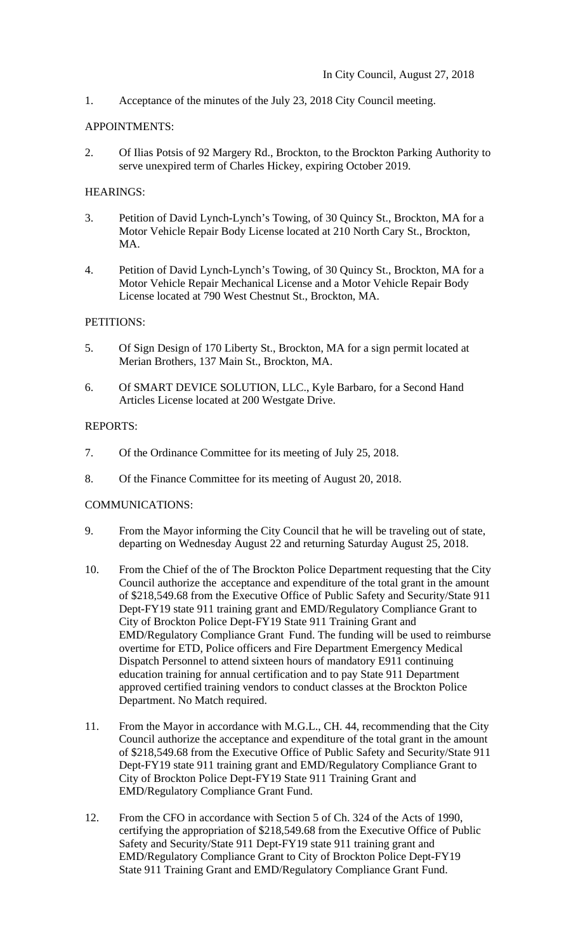1. Acceptance of the minutes of the July 23, 2018 City Council meeting.

#### APPOINTMENTS:

2. Of Ilias Potsis of 92 Margery Rd., Brockton, to the Brockton Parking Authority to serve unexpired term of Charles Hickey, expiring October 2019.

## HEARINGS:

- 3. Petition of David Lynch-Lynch's Towing, of 30 Quincy St., Brockton, MA for a Motor Vehicle Repair Body License located at 210 North Cary St., Brockton, MA.
- 4. Petition of David Lynch-Lynch's Towing, of 30 Quincy St., Brockton, MA for a Motor Vehicle Repair Mechanical License and a Motor Vehicle Repair Body License located at 790 West Chestnut St., Brockton, MA.

### PETITIONS:

- 5. Of Sign Design of 170 Liberty St., Brockton, MA for a sign permit located at Merian Brothers, 137 Main St., Brockton, MA.
- 6. Of SMART DEVICE SOLUTION, LLC., Kyle Barbaro, for a Second Hand Articles License located at 200 Westgate Drive.

### REPORTS:

- 7. Of the Ordinance Committee for its meeting of July 25, 2018.
- 8. Of the Finance Committee for its meeting of August 20, 2018.

# COMMUNICATIONS:

- 9. From the Mayor informing the City Council that he will be traveling out of state, departing on Wednesday August 22 and returning Saturday August 25, 2018.
- 10. From the Chief of the of The Brockton Police Department requesting that the City Council authorize the acceptance and expenditure of the total grant in the amount of \$218,549.68 from the Executive Office of Public Safety and Security/State 911 Dept-FY19 state 911 training grant and EMD/Regulatory Compliance Grant to City of Brockton Police Dept-FY19 State 911 Training Grant and EMD/Regulatory Compliance Grant Fund. The funding will be used to reimburse overtime for ETD, Police officers and Fire Department Emergency Medical Dispatch Personnel to attend sixteen hours of mandatory E911 continuing education training for annual certification and to pay State 911 Department approved certified training vendors to conduct classes at the Brockton Police Department. No Match required.
- 11. From the Mayor in accordance with M.G.L., CH. 44, recommending that the City Council authorize the acceptance and expenditure of the total grant in the amount of \$218,549.68 from the Executive Office of Public Safety and Security/State 911 Dept-FY19 state 911 training grant and EMD/Regulatory Compliance Grant to City of Brockton Police Dept-FY19 State 911 Training Grant and EMD/Regulatory Compliance Grant Fund.
- 12. From the CFO in accordance with Section 5 of Ch. 324 of the Acts of 1990, certifying the appropriation of \$218,549.68 from the Executive Office of Public Safety and Security/State 911 Dept-FY19 state 911 training grant and EMD/Regulatory Compliance Grant to City of Brockton Police Dept-FY19 State 911 Training Grant and EMD/Regulatory Compliance Grant Fund.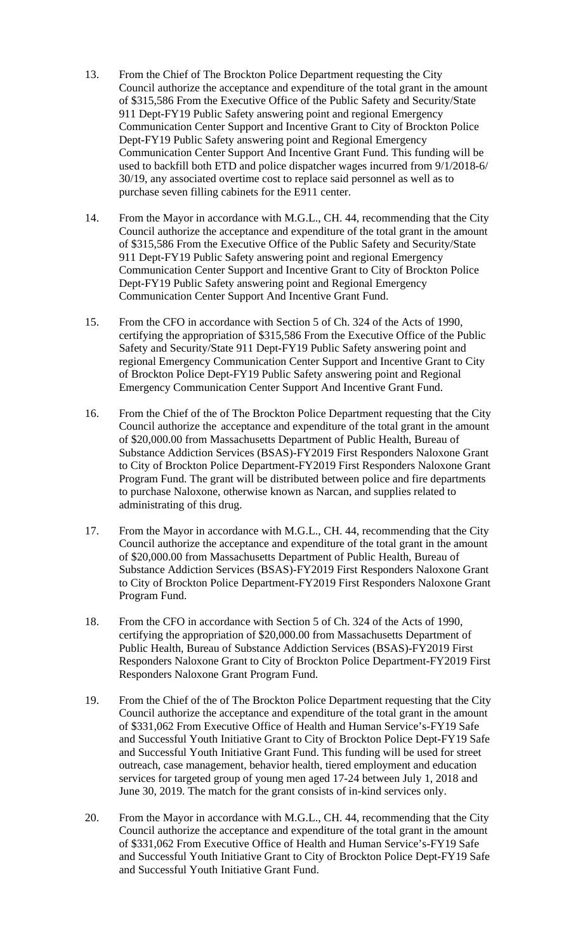- 13. From the Chief of The Brockton Police Department requesting the City Council authorize the acceptance and expenditure of the total grant in the amount of \$315,586 From the Executive Office of the Public Safety and Security/State 911 Dept-FY19 Public Safety answering point and regional Emergency Communication Center Support and Incentive Grant to City of Brockton Police Dept-FY19 Public Safety answering point and Regional Emergency Communication Center Support And Incentive Grant Fund. This funding will be used to backfill both ETD and police dispatcher wages incurred from 9/1/2018-6/ 30/19, any associated overtime cost to replace said personnel as well as to purchase seven filling cabinets for the E911 center.
- 14. From the Mayor in accordance with M.G.L., CH. 44, recommending that the City Council authorize the acceptance and expenditure of the total grant in the amount of \$315,586 From the Executive Office of the Public Safety and Security/State 911 Dept-FY19 Public Safety answering point and regional Emergency Communication Center Support and Incentive Grant to City of Brockton Police Dept-FY19 Public Safety answering point and Regional Emergency Communication Center Support And Incentive Grant Fund.
- 15. From the CFO in accordance with Section 5 of Ch. 324 of the Acts of 1990, certifying the appropriation of \$315,586 From the Executive Office of the Public Safety and Security/State 911 Dept-FY19 Public Safety answering point and regional Emergency Communication Center Support and Incentive Grant to City of Brockton Police Dept-FY19 Public Safety answering point and Regional Emergency Communication Center Support And Incentive Grant Fund.
- 16. From the Chief of the of The Brockton Police Department requesting that the City Council authorize the acceptance and expenditure of the total grant in the amount of \$20,000.00 from Massachusetts Department of Public Health, Bureau of Substance Addiction Services (BSAS)-FY2019 First Responders Naloxone Grant to City of Brockton Police Department-FY2019 First Responders Naloxone Grant Program Fund. The grant will be distributed between police and fire departments to purchase Naloxone, otherwise known as Narcan, and supplies related to administrating of this drug.
- 17. From the Mayor in accordance with M.G.L., CH. 44, recommending that the City Council authorize the acceptance and expenditure of the total grant in the amount of \$20,000.00 from Massachusetts Department of Public Health, Bureau of Substance Addiction Services (BSAS)-FY2019 First Responders Naloxone Grant to City of Brockton Police Department-FY2019 First Responders Naloxone Grant Program Fund.
- 18. From the CFO in accordance with Section 5 of Ch. 324 of the Acts of 1990, certifying the appropriation of \$20,000.00 from Massachusetts Department of Public Health, Bureau of Substance Addiction Services (BSAS)-FY2019 First Responders Naloxone Grant to City of Brockton Police Department-FY2019 First Responders Naloxone Grant Program Fund.
- 19. From the Chief of the of The Brockton Police Department requesting that the City Council authorize the acceptance and expenditure of the total grant in the amount of \$331,062 From Executive Office of Health and Human Service's-FY19 Safe and Successful Youth Initiative Grant to City of Brockton Police Dept-FY19 Safe and Successful Youth Initiative Grant Fund. This funding will be used for street outreach, case management, behavior health, tiered employment and education services for targeted group of young men aged 17-24 between July 1, 2018 and June 30, 2019. The match for the grant consists of in-kind services only.
- 20. From the Mayor in accordance with M.G.L., CH. 44, recommending that the City Council authorize the acceptance and expenditure of the total grant in the amount of \$331,062 From Executive Office of Health and Human Service's-FY19 Safe and Successful Youth Initiative Grant to City of Brockton Police Dept-FY19 Safe and Successful Youth Initiative Grant Fund.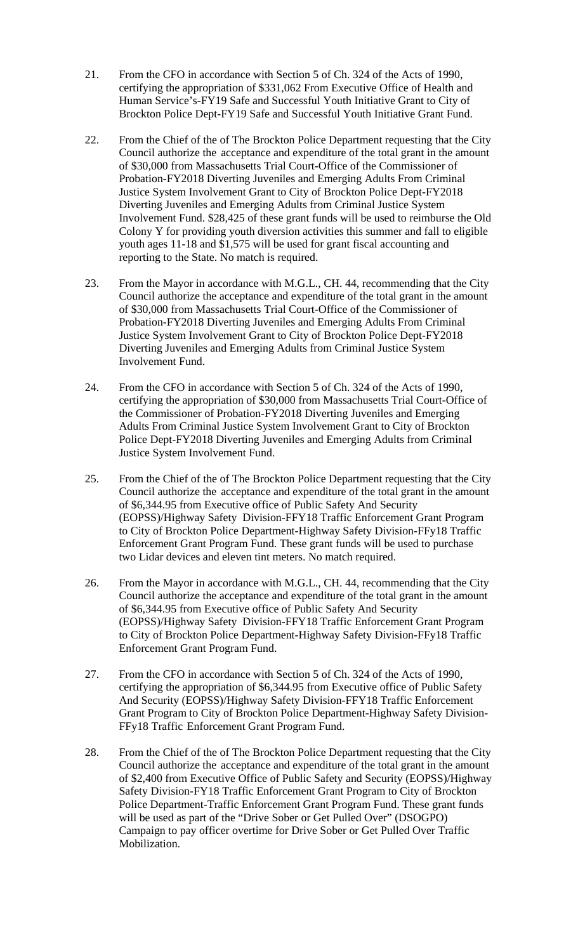- 21. From the CFO in accordance with Section 5 of Ch. 324 of the Acts of 1990, certifying the appropriation of \$331,062 From Executive Office of Health and Human Service's-FY19 Safe and Successful Youth Initiative Grant to City of Brockton Police Dept-FY19 Safe and Successful Youth Initiative Grant Fund.
- 22. From the Chief of the of The Brockton Police Department requesting that the City Council authorize the acceptance and expenditure of the total grant in the amount of \$30,000 from Massachusetts Trial Court-Office of the Commissioner of Probation-FY2018 Diverting Juveniles and Emerging Adults From Criminal Justice System Involvement Grant to City of Brockton Police Dept-FY2018 Diverting Juveniles and Emerging Adults from Criminal Justice System Involvement Fund. \$28,425 of these grant funds will be used to reimburse the Old Colony Y for providing youth diversion activities this summer and fall to eligible youth ages 11-18 and \$1,575 will be used for grant fiscal accounting and reporting to the State. No match is required.
- 23. From the Mayor in accordance with M.G.L., CH. 44, recommending that the City Council authorize the acceptance and expenditure of the total grant in the amount of \$30,000 from Massachusetts Trial Court-Office of the Commissioner of Probation-FY2018 Diverting Juveniles and Emerging Adults From Criminal Justice System Involvement Grant to City of Brockton Police Dept-FY2018 Diverting Juveniles and Emerging Adults from Criminal Justice System Involvement Fund.
- 24. From the CFO in accordance with Section 5 of Ch. 324 of the Acts of 1990, certifying the appropriation of \$30,000 from Massachusetts Trial Court-Office of the Commissioner of Probation-FY2018 Diverting Juveniles and Emerging Adults From Criminal Justice System Involvement Grant to City of Brockton Police Dept-FY2018 Diverting Juveniles and Emerging Adults from Criminal Justice System Involvement Fund.
- 25. From the Chief of the of The Brockton Police Department requesting that the City Council authorize the acceptance and expenditure of the total grant in the amount of \$6,344.95 from Executive office of Public Safety And Security (EOPSS)/Highway Safety Division-FFY18 Traffic Enforcement Grant Program to City of Brockton Police Department-Highway Safety Division-FFy18 Traffic Enforcement Grant Program Fund. These grant funds will be used to purchase two Lidar devices and eleven tint meters. No match required.
- 26. From the Mayor in accordance with M.G.L., CH. 44, recommending that the City Council authorize the acceptance and expenditure of the total grant in the amount of \$6,344.95 from Executive office of Public Safety And Security (EOPSS)/Highway Safety Division-FFY18 Traffic Enforcement Grant Program to City of Brockton Police Department-Highway Safety Division-FFy18 Traffic Enforcement Grant Program Fund.
- 27. From the CFO in accordance with Section 5 of Ch. 324 of the Acts of 1990, certifying the appropriation of \$6,344.95 from Executive office of Public Safety And Security (EOPSS)/Highway Safety Division-FFY18 Traffic Enforcement Grant Program to City of Brockton Police Department-Highway Safety Division- FFy18 Traffic Enforcement Grant Program Fund.
- 28. From the Chief of the of The Brockton Police Department requesting that the City Council authorize the acceptance and expenditure of the total grant in the amount of \$2,400 from Executive Office of Public Safety and Security (EOPSS)/Highway Safety Division-FY18 Traffic Enforcement Grant Program to City of Brockton Police Department-Traffic Enforcement Grant Program Fund. These grant funds will be used as part of the "Drive Sober or Get Pulled Over" (DSOGPO) Campaign to pay officer overtime for Drive Sober or Get Pulled Over Traffic Mobilization.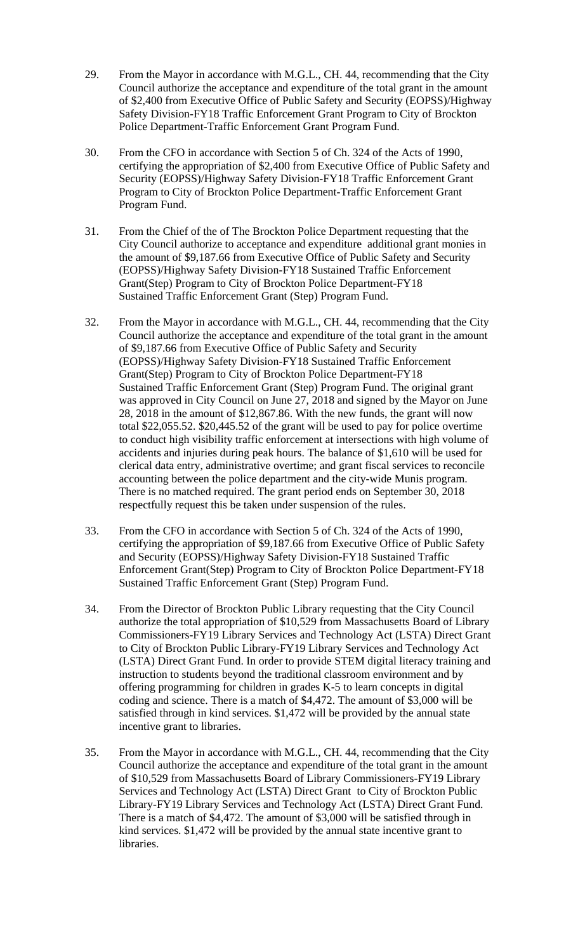- 29. From the Mayor in accordance with M.G.L., CH. 44, recommending that the City Council authorize the acceptance and expenditure of the total grant in the amount of \$2,400 from Executive Office of Public Safety and Security (EOPSS)/Highway Safety Division-FY18 Traffic Enforcement Grant Program to City of Brockton Police Department-Traffic Enforcement Grant Program Fund.
- 30. From the CFO in accordance with Section 5 of Ch. 324 of the Acts of 1990, certifying the appropriation of \$2,400 from Executive Office of Public Safety and Security (EOPSS)/Highway Safety Division-FY18 Traffic Enforcement Grant Program to City of Brockton Police Department-Traffic Enforcement Grant Program Fund.
- 31. From the Chief of the of The Brockton Police Department requesting that the City Council authorize to acceptance and expenditure additional grant monies in the amount of \$9,187.66 from Executive Office of Public Safety and Security (EOPSS)/Highway Safety Division-FY18 Sustained Traffic Enforcement Grant(Step) Program to City of Brockton Police Department-FY18 Sustained Traffic Enforcement Grant (Step) Program Fund.
- 32. From the Mayor in accordance with M.G.L., CH. 44, recommending that the City Council authorize the acceptance and expenditure of the total grant in the amount of \$9,187.66 from Executive Office of Public Safety and Security (EOPSS)/Highway Safety Division-FY18 Sustained Traffic Enforcement Grant(Step) Program to City of Brockton Police Department-FY18 Sustained Traffic Enforcement Grant (Step) Program Fund. The original grant was approved in City Council on June 27, 2018 and signed by the Mayor on June 28, 2018 in the amount of \$12,867.86. With the new funds, the grant will now total \$22,055.52. \$20,445.52 of the grant will be used to pay for police overtime to conduct high visibility traffic enforcement at intersections with high volume of accidents and injuries during peak hours. The balance of \$1,610 will be used for clerical data entry, administrative overtime; and grant fiscal services to reconcile accounting between the police department and the city-wide Munis program. There is no matched required. The grant period ends on September 30, 2018 respectfully request this be taken under suspension of the rules.
- 33. From the CFO in accordance with Section 5 of Ch. 324 of the Acts of 1990, certifying the appropriation of \$9,187.66 from Executive Office of Public Safety and Security (EOPSS)/Highway Safety Division-FY18 Sustained Traffic Enforcement Grant(Step) Program to City of Brockton Police Department-FY18 Sustained Traffic Enforcement Grant (Step) Program Fund.
- 34. From the Director of Brockton Public Library requesting that the City Council authorize the total appropriation of \$10,529 from Massachusetts Board of Library Commissioners-FY19 Library Services and Technology Act (LSTA) Direct Grant to City of Brockton Public Library-FY19 Library Services and Technology Act (LSTA) Direct Grant Fund. In order to provide STEM digital literacy training and instruction to students beyond the traditional classroom environment and by offering programming for children in grades K-5 to learn concepts in digital coding and science. There is a match of \$4,472. The amount of \$3,000 will be satisfied through in kind services. \$1,472 will be provided by the annual state incentive grant to libraries.
- 35. From the Mayor in accordance with M.G.L., CH. 44, recommending that the City Council authorize the acceptance and expenditure of the total grant in the amount of \$10,529 from Massachusetts Board of Library Commissioners-FY19 Library Services and Technology Act (LSTA) Direct Grant to City of Brockton Public Library-FY19 Library Services and Technology Act (LSTA) Direct Grant Fund. There is a match of \$4,472. The amount of \$3,000 will be satisfied through in kind services. \$1,472 will be provided by the annual state incentive grant to libraries.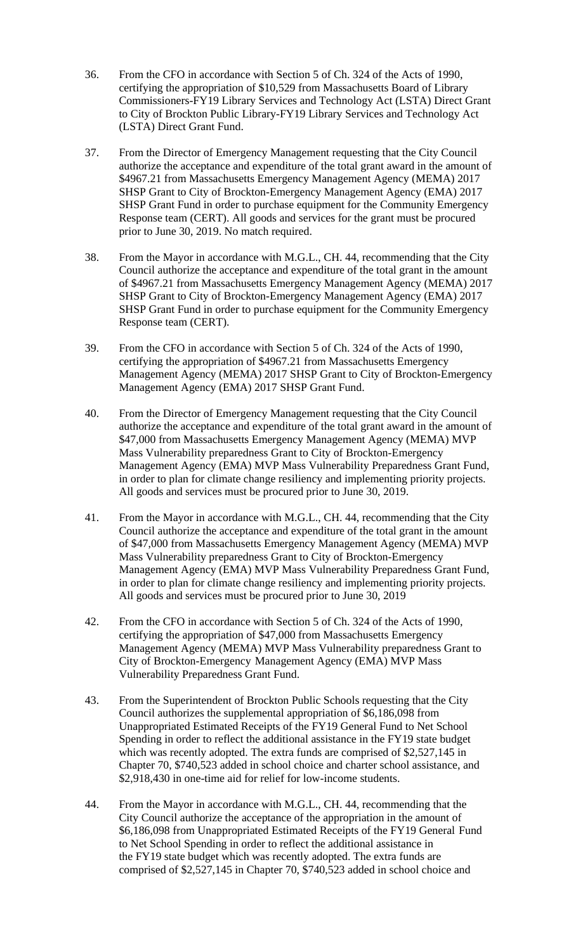- 36. From the CFO in accordance with Section 5 of Ch. 324 of the Acts of 1990, certifying the appropriation of \$10,529 from Massachusetts Board of Library Commissioners-FY19 Library Services and Technology Act (LSTA) Direct Grant to City of Brockton Public Library-FY19 Library Services and Technology Act (LSTA) Direct Grant Fund.
- 37. From the Director of Emergency Management requesting that the City Council authorize the acceptance and expenditure of the total grant award in the amount of \$4967.21 from Massachusetts Emergency Management Agency (MEMA) 2017 SHSP Grant to City of Brockton-Emergency Management Agency (EMA) 2017 SHSP Grant Fund in order to purchase equipment for the Community Emergency Response team (CERT). All goods and services for the grant must be procured prior to June 30, 2019. No match required.
- 38. From the Mayor in accordance with M.G.L., CH. 44, recommending that the City Council authorize the acceptance and expenditure of the total grant in the amount of \$4967.21 from Massachusetts Emergency Management Agency (MEMA) 2017 SHSP Grant to City of Brockton-Emergency Management Agency (EMA) 2017 SHSP Grant Fund in order to purchase equipment for the Community Emergency Response team (CERT).
- 39. From the CFO in accordance with Section 5 of Ch. 324 of the Acts of 1990, certifying the appropriation of \$4967.21 from Massachusetts Emergency Management Agency (MEMA) 2017 SHSP Grant to City of Brockton-Emergency Management Agency (EMA) 2017 SHSP Grant Fund.
- 40. From the Director of Emergency Management requesting that the City Council authorize the acceptance and expenditure of the total grant award in the amount of \$47,000 from Massachusetts Emergency Management Agency (MEMA) MVP Mass Vulnerability preparedness Grant to City of Brockton-Emergency Management Agency (EMA) MVP Mass Vulnerability Preparedness Grant Fund, in order to plan for climate change resiliency and implementing priority projects. All goods and services must be procured prior to June 30, 2019.
- 41. From the Mayor in accordance with M.G.L., CH. 44, recommending that the City Council authorize the acceptance and expenditure of the total grant in the amount of \$47,000 from Massachusetts Emergency Management Agency (MEMA) MVP Mass Vulnerability preparedness Grant to City of Brockton-Emergency Management Agency (EMA) MVP Mass Vulnerability Preparedness Grant Fund, in order to plan for climate change resiliency and implementing priority projects. All goods and services must be procured prior to June 30, 2019
- 42. From the CFO in accordance with Section 5 of Ch. 324 of the Acts of 1990, certifying the appropriation of \$47,000 from Massachusetts Emergency Management Agency (MEMA) MVP Mass Vulnerability preparedness Grant to City of Brockton-Emergency Management Agency (EMA) MVP Mass Vulnerability Preparedness Grant Fund.
- 43. From the Superintendent of Brockton Public Schools requesting that the City Council authorizes the supplemental appropriation of \$6,186,098 from Unappropriated Estimated Receipts of the FY19 General Fund to Net School Spending in order to reflect the additional assistance in the FY19 state budget which was recently adopted. The extra funds are comprised of \$2,527,145 in Chapter 70, \$740,523 added in school choice and charter school assistance, and \$2,918,430 in one-time aid for relief for low-income students.
- 44. From the Mayor in accordance with M.G.L., CH. 44, recommending that the City Council authorize the acceptance of the appropriation in the amount of \$6,186,098 from Unappropriated Estimated Receipts of the FY19 General Fund to Net School Spending in order to reflect the additional assistance in the FY19 state budget which was recently adopted. The extra funds are comprised of \$2,527,145 in Chapter 70, \$740,523 added in school choice and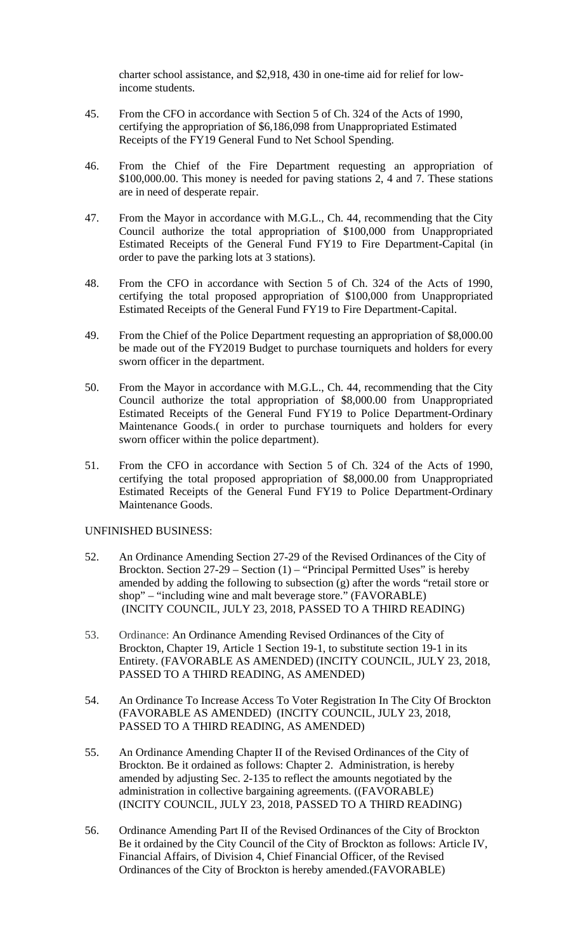charter school assistance, and \$2,918, 430 in one-time aid for relief for lowincome students.

- 45. From the CFO in accordance with Section 5 of Ch. 324 of the Acts of 1990, certifying the appropriation of \$6,186,098 from Unappropriated Estimated Receipts of the FY19 General Fund to Net School Spending.
- 46. From the Chief of the Fire Department requesting an appropriation of \$100,000.00. This money is needed for paving stations 2, 4 and 7. These stations are in need of desperate repair.
- 47. From the Mayor in accordance with M.G.L., Ch. 44, recommending that the City Council authorize the total appropriation of \$100,000 from Unappropriated Estimated Receipts of the General Fund FY19 to Fire Department-Capital (in order to pave the parking lots at 3 stations).
- 48. From the CFO in accordance with Section 5 of Ch. 324 of the Acts of 1990, certifying the total proposed appropriation of \$100,000 from Unappropriated Estimated Receipts of the General Fund FY19 to Fire Department-Capital.
- 49. From the Chief of the Police Department requesting an appropriation of \$8,000.00 be made out of the FY2019 Budget to purchase tourniquets and holders for every sworn officer in the department.
- 50. From the Mayor in accordance with M.G.L., Ch. 44, recommending that the City Council authorize the total appropriation of \$8,000.00 from Unappropriated Estimated Receipts of the General Fund FY19 to Police Department-Ordinary Maintenance Goods.( in order to purchase tourniquets and holders for every sworn officer within the police department).
- 51. From the CFO in accordance with Section 5 of Ch. 324 of the Acts of 1990, certifying the total proposed appropriation of \$8,000.00 from Unappropriated Estimated Receipts of the General Fund FY19 to Police Department-Ordinary Maintenance Goods.

#### UNFINISHED BUSINESS:

- 52. An Ordinance Amending Section 27-29 of the Revised Ordinances of the City of Brockton. Section 27-29 – Section (1) – "Principal Permitted Uses" is hereby amended by adding the following to subsection (g) after the words "retail store or shop" – "including wine and malt beverage store." (FAVORABLE) (INCITY COUNCIL, JULY 23, 2018, PASSED TO A THIRD READING)
- 53. Ordinance: An Ordinance Amending Revised Ordinances of the City of Brockton, Chapter 19, Article 1 Section 19-1, to substitute section 19-1 in its Entirety. (FAVORABLE AS AMENDED) (INCITY COUNCIL, JULY 23, 2018, PASSED TO A THIRD READING, AS AMENDED)
- 54. An Ordinance To Increase Access To Voter Registration In The City Of Brockton (FAVORABLE AS AMENDED) (INCITY COUNCIL, JULY 23, 2018, PASSED TO A THIRD READING, AS AMENDED)
- 55. An Ordinance Amending Chapter II of the Revised Ordinances of the City of Brockton. Be it ordained as follows: Chapter 2. Administration, is hereby amended by adjusting Sec. 2-135 to reflect the amounts negotiated by the administration in collective bargaining agreements. ((FAVORABLE) (INCITY COUNCIL, JULY 23, 2018, PASSED TO A THIRD READING)
- 56. Ordinance Amending Part II of the Revised Ordinances of the City of Brockton Be it ordained by the City Council of the City of Brockton as follows: Article IV, Financial Affairs, of Division 4, Chief Financial Officer, of the Revised Ordinances of the City of Brockton is hereby amended.(FAVORABLE)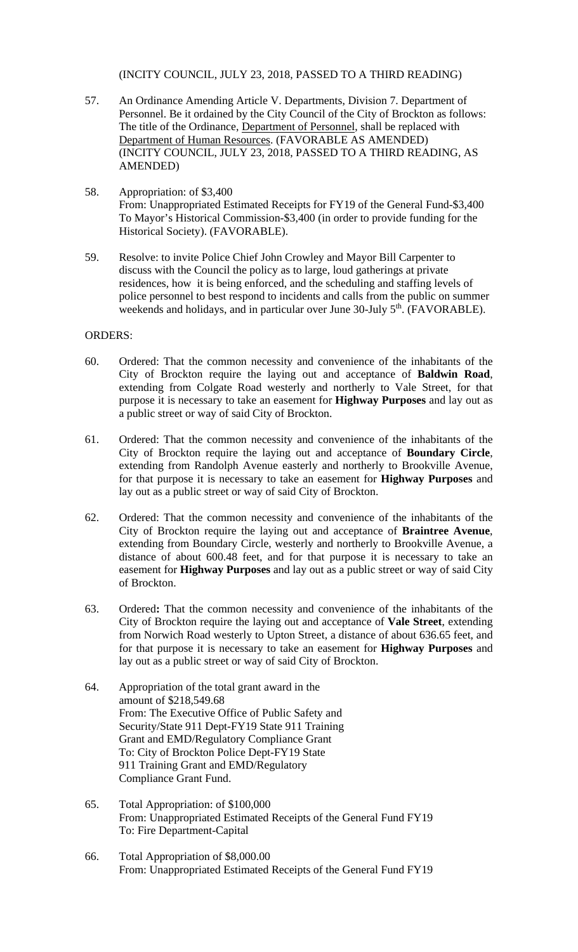(INCITY COUNCIL, JULY 23, 2018, PASSED TO A THIRD READING)

- 57. An Ordinance Amending Article V. Departments, Division 7. Department of Personnel. Be it ordained by the City Council of the City of Brockton as follows: The title of the Ordinance, Department of Personnel, shall be replaced with Department of Human Resources. (FAVORABLE AS AMENDED) (INCITY COUNCIL, JULY 23, 2018, PASSED TO A THIRD READING, AS AMENDED)
- 58. Appropriation: of \$3,400 From: Unappropriated Estimated Receipts for FY19 of the General Fund-\$3,400 To Mayor's Historical Commission-\$3,400 (in order to provide funding for the Historical Society). (FAVORABLE).
- 59. Resolve: to invite Police Chief John Crowley and Mayor Bill Carpenter to discuss with the Council the policy as to large, loud gatherings at private residences, how it is being enforced, and the scheduling and staffing levels of police personnel to best respond to incidents and calls from the public on summer weekends and holidays, and in particular over June 30-July 5<sup>th</sup>. (FAVORABLE).

#### ORDERS:

- 60. Ordered: That the common necessity and convenience of the inhabitants of the City of Brockton require the laying out and acceptance of **Baldwin Road**, extending from Colgate Road westerly and northerly to Vale Street, for that purpose it is necessary to take an easement for **Highway Purposes** and lay out as a public street or way of said City of Brockton.
- 61. Ordered: That the common necessity and convenience of the inhabitants of the City of Brockton require the laying out and acceptance of **Boundary Circle**, extending from Randolph Avenue easterly and northerly to Brookville Avenue, for that purpose it is necessary to take an easement for **Highway Purposes** and lay out as a public street or way of said City of Brockton.
- 62. Ordered: That the common necessity and convenience of the inhabitants of the City of Brockton require the laying out and acceptance of **Braintree Avenue**, extending from Boundary Circle, westerly and northerly to Brookville Avenue, a distance of about 600.48 feet, and for that purpose it is necessary to take an easement for **Highway Purposes** and lay out as a public street or way of said City of Brockton.
- 63. Ordered**:** That the common necessity and convenience of the inhabitants of the City of Brockton require the laying out and acceptance of **Vale Street**, extending from Norwich Road westerly to Upton Street, a distance of about 636.65 feet, and for that purpose it is necessary to take an easement for **Highway Purposes** and lay out as a public street or way of said City of Brockton.
- 64. Appropriation of the total grant award in the amount of \$218,549.68 From: The Executive Office of Public Safety and Security/State 911 Dept-FY19 State 911 Training Grant and EMD/Regulatory Compliance Grant To: City of Brockton Police Dept-FY19 State 911 Training Grant and EMD/Regulatory Compliance Grant Fund.
- 65. Total Appropriation: of \$100,000 From: Unappropriated Estimated Receipts of the General Fund FY19 To: Fire Department-Capital
- 66. Total Appropriation of \$8,000.00 From: Unappropriated Estimated Receipts of the General Fund FY19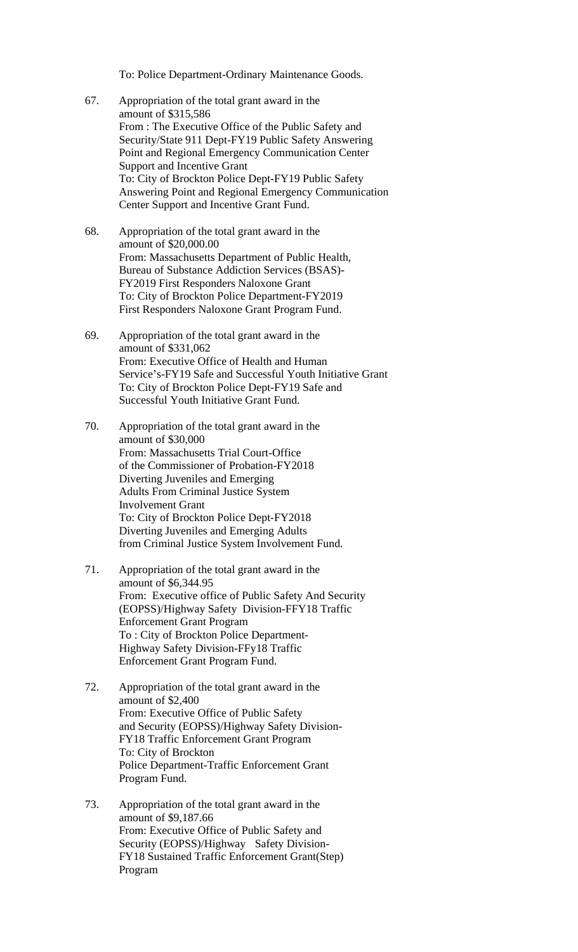To: Police Department-Ordinary Maintenance Goods.

- 67. Appropriation of the total grant award in the amount of \$315,586 From : The Executive Office of the Public Safety and Security/State 911 Dept-FY19 Public Safety Answering Point and Regional Emergency Communication Center Support and Incentive Grant To: City of Brockton Police Dept-FY19 Public Safety Answering Point and Regional Emergency Communication Center Support and Incentive Grant Fund.
- 68. Appropriation of the total grant award in the amount of \$20,000.00 From: Massachusetts Department of Public Health, Bureau of Substance Addiction Services (BSAS)- FY2019 First Responders Naloxone Grant To: City of Brockton Police Department-FY2019 First Responders Naloxone Grant Program Fund.
- 69. Appropriation of the total grant award in the amount of \$331,062 From: Executive Office of Health and Human Service's-FY19 Safe and Successful Youth Initiative Grant To: City of Brockton Police Dept-FY19 Safe and Successful Youth Initiative Grant Fund.
- 70. Appropriation of the total grant award in the amount of \$30,000 From: Massachusetts Trial Court-Office of the Commissioner of Probation-FY2018 Diverting Juveniles and Emerging Adults From Criminal Justice System Involvement Grant To: City of Brockton Police Dept-FY2018 Diverting Juveniles and Emerging Adults from Criminal Justice System Involvement Fund.
- 71. Appropriation of the total grant award in the amount of \$6,344.95 From: Executive office of Public Safety And Security (EOPSS)/Highway Safety Division-FFY18 Traffic Enforcement Grant Program To : City of Brockton Police Department- Highway Safety Division-FFy18 Traffic Enforcement Grant Program Fund.
- 72. Appropriation of the total grant award in the amount of \$2,400 From: Executive Office of Public Safety and Security (EOPSS)/Highway Safety Division- FY18 Traffic Enforcement Grant Program To: City of Brockton Police Department-Traffic Enforcement Grant Program Fund.
- 73. Appropriation of the total grant award in the amount of \$9,187.66 From: Executive Office of Public Safety and Security (EOPSS)/Highway Safety Division- FY18 Sustained Traffic Enforcement Grant(Step) Program